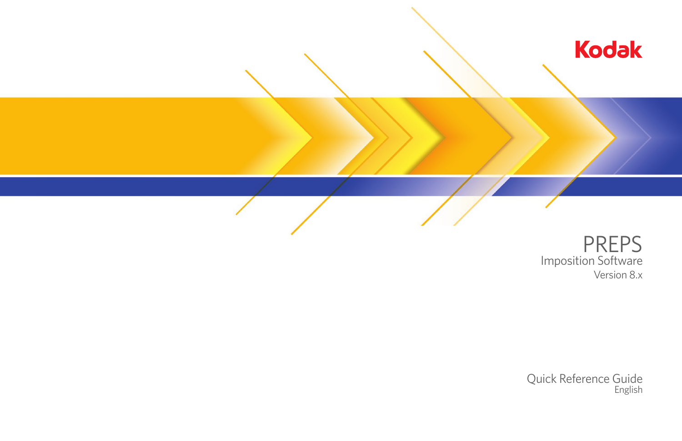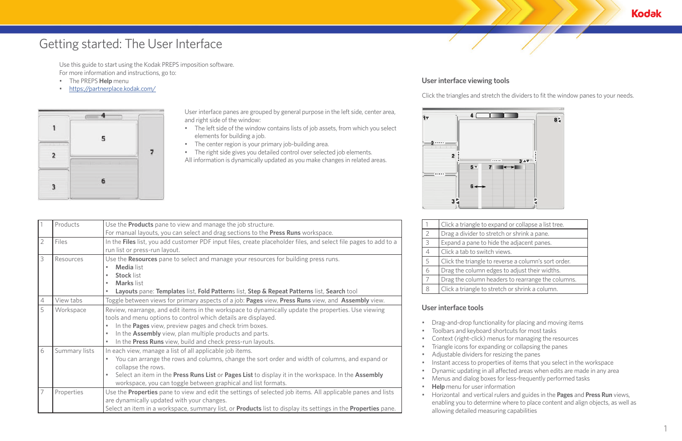Use this guide to start using the Kodak PREPS imposition software. For more information and instructions, go to:

- The PREPS **Help** menu
- <https://partnerplace.kodak.com/>



# Getting started: The User Interface

## **User interface viewing tools**

Click the triangles and stretch the dividers to fit the window panes to your needs.

| Click a triangle to expand or collapse a list tree.  |
|------------------------------------------------------|
| Drag a divider to stretch or shrink a pane.          |
| Expand a pane to hide the adjacent panes.            |
| Click a tab to switch views.                         |
| Click the triangle to reverse a column's sort order. |
| Drag the column edges to adjust their widths.        |
| Drag the column headers to rearrange the columns.    |
| Click a triangle to stretch or shrink a column.      |
|                                                      |

|                | Products      | Use the Products pane to view and manage the job structure.                                                                                                            |                |
|----------------|---------------|------------------------------------------------------------------------------------------------------------------------------------------------------------------------|----------------|
|                |               | For manual layouts, you can select and drag sections to the Press Runs workspace.                                                                                      |                |
| $\overline{2}$ | Files         | In the Files list, you add customer PDF input files, create placeholder files, and select file pages to add to a                                                       |                |
|                |               | run list or press-run layout.                                                                                                                                          |                |
| 3              | Resources     | Use the Resources pane to select and manage your resources for building press runs.                                                                                    |                |
|                |               | <b>Media</b> list                                                                                                                                                      |                |
|                |               | <b>Stock list</b>                                                                                                                                                      |                |
|                |               | <b>Marks</b> list<br>$\bullet$                                                                                                                                         |                |
|                |               | Layouts pane: Templates list, Fold Patterns list, Step & Repeat Patterns list, Search tool                                                                             |                |
| 4              | View tabs     | Toggle between views for primary aspects of a job: Pages view, Press Runs view, and Assembly view.                                                                     |                |
| 5              | Workspace     | Review, rearrange, and edit items in the workspace to dynamically update the properties. Use viewing<br>tools and menu options to control which details are displayed. | U <sub>S</sub> |
|                |               | In the Pages view, preview pages and check trim boxes.                                                                                                                 |                |
|                |               | In the Assembly view, plan multiple products and parts.                                                                                                                |                |
|                |               | In the Press Runs view, build and check press-run layouts.                                                                                                             |                |
| 6              | Summary lists | In each view, manage a list of all applicable job items.                                                                                                               |                |
|                |               | You can arrange the rows and columns, change the sort order and width of columns, and expand or<br>collapse the rows.                                                  |                |
|                |               | Select an item in the Press Runs List or Pages List to display it in the workspace. In the Assembly<br>workspace, you can toggle between graphical and list formats.   |                |
|                | Properties    | Use the <b>Properties</b> pane to view and edit the settings of selected job items. All applicable panes and lists<br>are dynamically updated with your changes.       |                |
|                |               | Select an item in a workspace, summary list, or <b>Products</b> list to display its settings in the <b>Properties</b> pane.                                            |                |

### **User interface tools**

• Drag-and-drop functionality for placing and moving items

- 
- Dynamic updating in all affected areas when edits are made in any area
	-
- 
- Toolbars and keyboard shortcuts for most tasks
- Context (right-click) menus for managing the resources
- Triangle icons for expanding or collapsing the panes
- Adjustable dividers for resizing the panes
- Instant access to properties of items that you select in the workspace
- Menus and dialog boxes for less-frequently performed tasks **Help** menu for user information
- 
- Horizontal and vertical rulers and guides in the **Pages** and **Press Run** views, enabling you to determine where to place content and align objects, as well as allowing detailed measuring capabilities

**Kodak** 

User interface panes are grouped by general purpose in the left side, center area, and right side of the window:

- The left side of the window contains lists of job assets, from which you select elements for building a job.
- The center region is your primary job-building area.
- The right side gives you detailed control over selected job elements. All information is dynamically updated as you make changes in related areas.

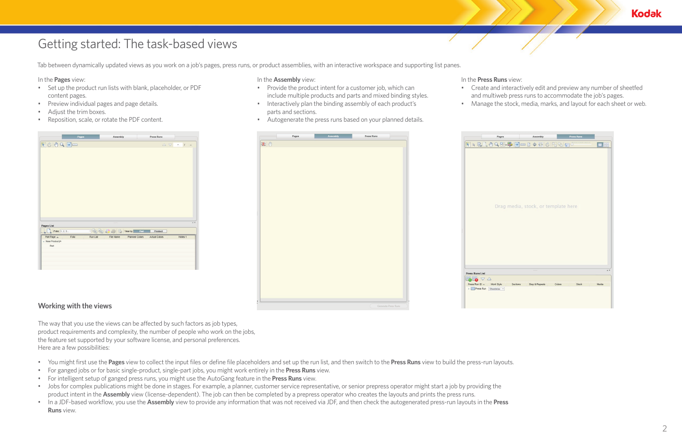# Getting started: The task-based views

Tab between dynamically updated views as you work on a job's pages, press runs, or product assemblies, with an interactive workspace and supporting list panes.

In the **Pages** view:

- Set up the product run lists with blank, placeholder, or PDF content pages.
- Preview individual pages and page details.
- Adjust the trim boxes.
- Reposition, scale, or rotate the PDF content.

| Pages                                    |          | Assembly                                                                                                 |                | Press Runs           |                                                                   |         |
|------------------------------------------|----------|----------------------------------------------------------------------------------------------------------|----------------|----------------------|-------------------------------------------------------------------|---------|
| 10000                                    |          |                                                                                                          |                |                      | $\begin{array}{ccccc} \triangle & \nabla & = & I & = \end{array}$ |         |
|                                          |          |                                                                                                          |                |                      |                                                                   |         |
|                                          |          |                                                                                                          |                |                      |                                                                   |         |
|                                          |          |                                                                                                          |                |                      |                                                                   |         |
|                                          |          |                                                                                                          |                |                      |                                                                   |         |
|                                          |          |                                                                                                          |                |                      |                                                                   |         |
|                                          |          |                                                                                                          |                |                      |                                                                   |         |
|                                          |          |                                                                                                          |                |                      |                                                                   |         |
|                                          |          |                                                                                                          |                |                      |                                                                   |         |
|                                          |          |                                                                                                          |                |                      |                                                                   |         |
|                                          |          |                                                                                                          |                |                      |                                                                   |         |
|                                          |          |                                                                                                          |                |                      |                                                                   |         |
|                                          |          |                                                                                                          |                |                      |                                                                   |         |
|                                          |          |                                                                                                          |                |                      |                                                                   |         |
|                                          |          |                                                                                                          |                |                      |                                                                   |         |
|                                          |          | <b>SALAR</b>                                                                                             |                |                      |                                                                   |         |
|                                          |          |                                                                                                          |                |                      |                                                                   |         |
| $\Box_{\triangleright}$ Folio: $1, 2, 3$ |          | $\exists$ $\begin{array}{c} \Box \Box \Box \end{array}$ $\Box$ $\Box$ $\Box$ $\Box$ $\Box$ $\Box$ $\Box$ | Part           | Product              |                                                                   |         |
| Folio<br>Part Page A                     | Run List | File Name                                                                                                | Planned Colors | <b>Actual Colors</b> | Notes 1                                                           |         |
|                                          |          |                                                                                                          |                |                      |                                                                   | $A$ $V$ |
| Part                                     |          |                                                                                                          |                |                      |                                                                   |         |
|                                          |          |                                                                                                          |                |                      |                                                                   |         |
| Pages List<br>- New Product(A            |          |                                                                                                          |                |                      |                                                                   |         |
|                                          |          |                                                                                                          |                |                      |                                                                   |         |

### In the **Press Runs** view:

- Create and interactively edit and preview any number of sheetfed
- 

RRELOQ

**Press Runs List**  $\mathbb{B}$  of  $\mathbb{C}$ ress Run ID A Work St

Dr.



- and multiweb press runs to accommodate the job's pages.
- Manage the stock, media, marks, and layout for each sheet or web.

| es.                                                                                      | Assembly       |        | <b>Press Runs</b> |         |                |
|------------------------------------------------------------------------------------------|----------------|--------|-------------------|---------|----------------|
| $\mathbb{R}\,$ be the designation of $\mathbb{R}\,$ be the designation of $\mathbb{R}\,$ |                |        |                   | 1111111 | $\blacksquare$ |
|                                                                                          |                |        |                   |         |                |
|                                                                                          |                |        |                   |         |                |
|                                                                                          |                |        |                   |         |                |
|                                                                                          |                |        |                   |         |                |
|                                                                                          |                |        |                   |         |                |
|                                                                                          |                |        |                   |         |                |
| ig media, stock, or template here                                                        |                |        |                   |         |                |
|                                                                                          |                |        |                   |         |                |
|                                                                                          |                |        |                   |         |                |
|                                                                                          |                |        |                   |         |                |
|                                                                                          |                |        |                   |         |                |
|                                                                                          |                |        |                   |         |                |
|                                                                                          |                |        |                   |         |                |
|                                                                                          |                |        |                   |         |                |
|                                                                                          | ----           |        |                   |         | Ä              |
| Sections                                                                                 | Step & Repeats | Colors |                   | Stock   | Media          |
| $\overline{\phantom{a}}$                                                                 |                |        |                   |         |                |
|                                                                                          |                |        |                   |         |                |
|                                                                                          |                |        |                   |         |                |

In the **Assembly** view:

- Provide the product intent for a customer job, which can include multiple products and parts and mixed binding styles.
- Interactively plan the binding assembly of each product's parts and sections.
- Autogenerate the press runs based on your planned details.



### **Working with the views**

The way that you use the views can be affected by such factors as job types, product requirements and complexity, the number of people who work on the jobs, the feature set supported by your software license, and personal preferences. Here are a few possibilities:

- You might first use the **Pages** view to collect the input files or define file placeholders and set up the run list, and then switch to the **Press Runs** view to build the press-run layouts.
- For ganged jobs or for basic single-product, single-part jobs, you might work entirely in the **Press Runs** view.
- For intelligent setup of ganged press runs, you might use the AutoGang feature in the **Press Runs** view.
- Jobs for complex publications might be done in stages. For example, a planner, customer service representative, or senior prepress operator might start a job by providing the product intent in the **Assembly** view (license-dependent). The job can then be completed by a prepress operator who creates the layouts and prints the press runs.
- In a JDF-based workflow, you use the **Assembly** view to provide any information that was not received via JDF, and then check the autogenerated press-run layouts in the **Press Runs** view.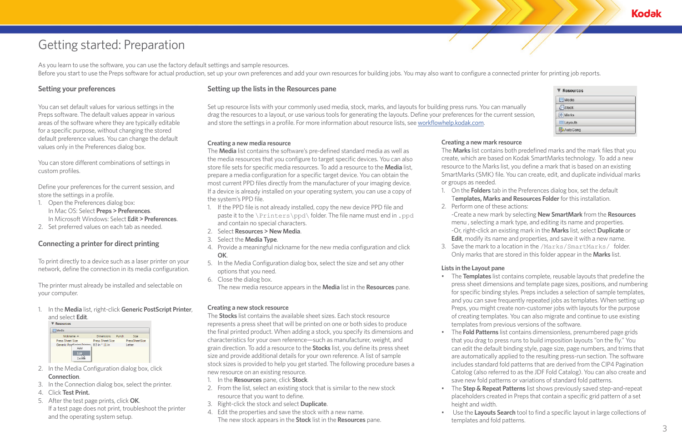As you learn to use the software, you can use the factory default settings and sample resources. Before you start to use the Preps software for actual production, set up your own preferences and add your own resources for building jobs. You may also want to configure a connected printer for printing job reports.

# Getting started: Preparation

### **Setting your preferences**

You can set default values for various settings in the Preps software. The default values appear in various areas of the software where they are typically editable for a specific purpose, without changing the stored default preference values. You can change the default values only in the Preferences dialog box.

You can store different combinations of settings in custom profiles.

Define your preferences for the current session, and store the settings in a profile.

- 1. Open the Preferences dialog box: In Mac OS: Select **Preps > Preferences**. In Microsoft Windows: Select **Edit > Preferences**.
- 2. Set preferred values on each tab as needed.

### **Connecting a printer for direct printing**

To print directly to a device such as a laser printer on your network, define the connection in its media configuration.

The printer must already be installed and selectable on your computer.

1. In the **Media** list, right-click **Generic PostScript Printer**, and select **Edit**.

| <b>Media</b>                                             |                         |       |                |
|----------------------------------------------------------|-------------------------|-------|----------------|
| Nickname -                                               | <b>Dimensions</b>       | Punch | <b>Size</b>    |
| <b>Press Sheet Size</b>                                  | <b>Press Sheet Size</b> |       | PressSheetSize |
| Generic PostCorint Drinton 8.5 in * 11 in<br>Add<br>Edit |                         |       | Letter         |

- 2. In the Media Configuration dialog box, click **Connection**.
- 3. In the Connection dialog box, select the printer.
- 4. Click **Test Print.**
- 5. After the test page prints, click **OK**. If a test page does not print, troubleshoot the printer and the operating system setup.

### **Setting up the lists in the Resources pane**

Set up resource lists with your commonly used media, stock, marks, and layouts for building press runs. You can manually drag the resources to a layout, or use various tools for generating the layouts. Define your preferences for the current session, and store the settings in a profile. For more information about resource lists, see [workflowhelp.kodak.com](http://workflowhelp.kodak.com).

### **Creating a new mark resource**

The **Marks** list contains both predefined marks and the mark files that you create, which are based on Kodak SmartMarks technology. To add a new resource to the Marks list, you define a mark that is based on an existing SmartMarks (SMK) file. You can create, edit, and duplicate individual marks or groups as needed.

1. On the **Folders** tab in the Preferences dialog box, set the default T**emplates, Marks and Resources Folder** for this installation.

- 
- 2. Perform one of these actions:
- 

-Create a new mark by selecting **New SmartMark** from the **Resources**  menu , selecting a mark type, and editing its name and properties. -Or, right-click an existing mark in the **Marks** list, select **Duplicate** or **Edit**, modify its name and properties, and save it with a new name. 3. Save the mark to a location in the /Marks/SmartMarks/ folder. Only marks that are stored in this folder appear in the **Marks** list.

### **Creating a new stock resource**

The **Stocks** list contains the available sheet sizes. Each stock resource represents a press sheet that will be printed on one or both sides to produce the final printed product. When adding a stock, you specify its dimensions and characteristics for your own reference—such as manufacturer, weight, and grain direction. To add a resource to the **Stocks** list, you define its press sheet size and provide additional details for your own reference. A list of sample stock sizes is provided to help you get started. The following procedure bases a new resource on an existing resource.

- 1. In the **Resources** pane, click **Stock**.
- 2. From the list, select an existing stock that is similar to the new stock resource that you want to define.
- 3. Right-click the stock and select **Duplicate**.
- 4. Edit the properties and save the stock with a new name. The new stock appears in the **Stock** list in the **Resources** pane.

### **Creating a new media resource**

The **Media** list contains the software's pre-defined standard media as well as the media resources that you configure to target specific devices. You can also store file sets for specific media resources. To add a resource to the **Media** list, prepare a media configuration for a specific target device. You can obtain the most current PPD files directly from the manufacturer of your imaging device. If a device is already installed on your operating system, you can use a copy of the system's PPD file.

- 1. If the PPD file is not already installed, copy the new device PPD file and paste it to the \Printers\ppd\ folder. The file name must end in .ppd and contain no special characters.
- 2. Select **Resources > New Media**.
- 3. Select the **Media Type**.
- 4. Provide a meaningful nickname for the new media configuration and click **OK**.
- 5. In the Media Configuration dialog box, select the size and set any other options that you need.
- 6. Close the dialog box. The new media resource appears in the **Media** list in the **Resources** pane.

### **Lists in the Layout pane**

• The **Templates** list contains complete, reusable layouts that predefine the press sheet dimensions and template page sizes, positions, and numbering for specific binding styles. Preps includes a selection of sample templates, and you can save frequently repeated jobs as templates. When setting up Preps, you might create non-customer jobs with layouts for the purpose of creating templates. You can also migrate and continue to use existing templates from previous versions of the software.

• The **Fold Patterns** list contains dimensionless, prenumbered page grids that you drag to press runs to build imposition layouts "on the fly." You can edit the default binding style, page size, page numbers, and trims that are automatically applied to the resulting press-run section. The software includes standard fold patterns that are derived from the CIP4 Pagination Catolog (also referred to as the JDF Fold Catalog). You can also create and save new fold patterns or variations of standard fold patterns.

• The **Step & Repeat Patterns** list shows previously saved step-and-repeat placeholders created in Preps that contain a specific grid pattern of a set

• Use the **Layouts Search** tool to find a specific layout in large collections of

- 
- 
- height and width.
- templates and fold patterns.

**Kodak** 

| Media            |  |
|------------------|--|
| Stock            |  |
| <b>Marks</b>     |  |
| <b>EDLayouts</b> |  |
| AutoGang         |  |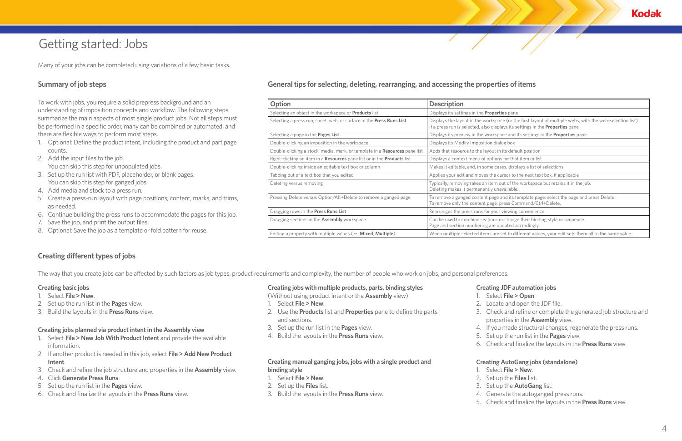# Getting started: Jobs

Many of your jobs can be completed using variations of a few basic tasks.

### **Summary of job steps**

To work with jobs, you require a solid prepress background and an understanding of imposition concepts and workflow. The following steps summarize the main aspects of most single product jobs. Not all steps must be performed in a specific order, many can be combined or automated, and there are flexible ways to perform most steps.

- 1. Optional: Define the product intent, including the product and part page counts.
- 2. Add the input files to the job. You can skip this step for unpopulated jobs.
- 3. Set up the run list with PDF, placeholder, or blank pages. You can skip this step for ganged jobs.
- 4. Add media and stock to a press run.
- 5. Create a press-run layout with page positions, content, marks, and trims, as needed.
- 6. Continue building the press runs to accommodate the pages for this job.
- 7. Save the job, and print the output files.
- 8. Optional: Save the job as a template or fold pattern for reuse.

### **Creating different types of jobs**

The way that you create jobs can be affected by such factors as job types, product requirements and complexity, the number of people who work on jobs, and personal preferences.

### **Creating basic jobs**

- 1. Select **File > New**.
- 2. Set up the run list in the **Pages** view.
- 3. Build the layouts in the **Press Runs** view.

#### **Creating manual ganging jobs, jobs with a single product and binding style**

- 1. Select **File > New**.
- 2. Set up the **Files** list.
- 3. Build the layouts in the **Press Runs** view.

### **Creating jobs with multiple products, parts, binding styles**

(Without using product intent or the **Assembly** view)

- 1. Select **File > New**.
- 2. Use the **Products** list and **Properties** pane to define the parts and sections.
- 3. Set up the run list in the **Pages** view.
- 4. Build the layouts in the **Press Runs** view.

### **Creating jobs planned via product intent in the Assembly view**

- 1. Select **File > New Job With Product Intent** and provide the available information.
- 2. If another product is needed in this job, select **File > Add New Product Intent**.
- 3. Check and refine the job structure and properties in the **Assembly** view.
- 4. Click **Generate Press Runs**.
- 5. Set up the run list in the **Pages** view.
- 6. Check and finalize the layouts in the **Press Runs** view.

### **Creating JDF automation jobs**

- 
- 
- 
- 
- 
- 
- 

#### 1. Select **File > Open**.

2. Locate and open the JDF file.

3. Check and refine or complete the generated job structure and properties in the **Assembly** view.

4. If you made structural changes, regenerate the press runs.

5. Set up the run list in the **Pages** view.

6. Check and finalize the layouts in the **Press Runs** view.

#### **Creating AutoGang jobs (standalone)**

#### 1. Select **File > New**.

- 
- 2. Set up the **Files** list.
- 3. Set up the **AutoGang** list.
- 4. Generate the autoganged press runs.
- 5. Check and finalize the layouts in the **Press Runs** view.



### **General tips for selecting, deleting, rearranging, and accessing the properties of items**

| Option                                                                     | <b>Description</b>                                                                                                                                                                                |
|----------------------------------------------------------------------------|---------------------------------------------------------------------------------------------------------------------------------------------------------------------------------------------------|
| Selecting an object in the workspace or <b>Products</b> list               | Displays its settings in the <b>Properties</b> pane                                                                                                                                               |
| Selecting a press run, sheet, web, or surface in the Press Runs List       | Displays the layout in the workspace (or the first layout of multiple webs, with the web-selection list).<br>If a press run is selected, also displays its settings in the <b>Properties</b> pane |
| Selecting a page in the <b>Pages List</b>                                  | Displays its preview in the workspace and its settings in the <b>Properties</b> pane                                                                                                              |
| Double-clicking an imposition in the workspace                             | Displays its Modify Imposition dialog box                                                                                                                                                         |
| Double-clicking a stock, media, mark, or template in a Resources pane list | Adds that resource to the layout in its default position                                                                                                                                          |
| Right-clicking an item in a Resources pane list or in the Products list    | Displays a context menu of options for that item or list                                                                                                                                          |
| Double-clicking inside an editable text box or column                      | Makes it editable, and, in some cases, displays a list of selections                                                                                                                              |
| Tabbing out of a text box that you edited                                  | Applies your edit and moves the cursor to the next text box, if applicable                                                                                                                        |
| Deleting versus removing                                                   | Typically, removing takes an item out of the workspace but retains it in the job.<br>Deleting makes it permanently unavailable.                                                                   |
| Pressing Delete versus Option/Alt+Delete to remove a ganged page           | To remove a ganged content page and its template page, select the page and press Delete.<br>To remove only the content page, press Command/Ctrl+Delete.                                           |
| Dragging rows in the Press Runs List                                       | Rearranges the press runs for your viewing convenience                                                                                                                                            |
| Dragging sections in the Assembly workspace                                | Can be used to combine sections or change their binding style or sequence.<br>Page and section numbering are updated accordingly.                                                                 |
| Editing a property with multiple values (--, Mixed, Multiple)              | When multiple selected items are set to different values, your edit sets them all to the same value.                                                                                              |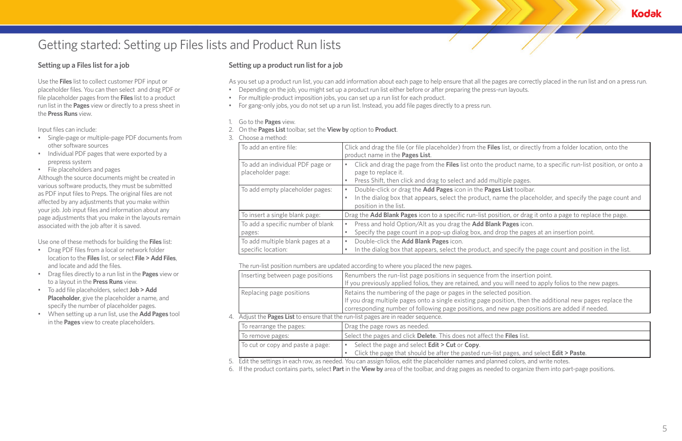# Getting started: Setting up Files lists and Product Run lists

## **Setting up a Files list for a job**

Use the **Files** list to collect customer PDF input or placeholder files. You can then select and drag PDF or file placeholder pages from the **Files** list to a product run list in the **Pages** view or directly to a press sheet in the **Press Runs** view.

Input files can include:

- Single-page or multiple-page PDF documents from other software sources
- Individual PDF pages that were exported by a prepress system
- File placeholders and pages

Although the source documents might be created in various software products, they must be submitted as PDF input files to Preps. The original files are not affected by any adjustments that you make within your job. Job input files and information about any page adjustments that you make in the layouts remain associated with the job after it is saved.

Use one of these methods for building the **Files** list:

- Drag PDF files from a local or network folder location to the **Files** list, or select **File > Add Files**, and locate and add the files.
- Drag files directly to a run list in the **Pages** view or to a layout in the **Press Runs** view.
- To add file placeholders, select **Job > Add Placeholder**, give the placeholder a name, and specify the number of placeholder pages.
- When setting up a run list, use the **Add Pages** tool in the **Pages** view to create placeholders.

# **Setting up a product run list for a job**

As you set up a product run list, you can add information about each page to help ensure that all the pages are correctly placed in the run list and on a press run.

- Depending on the job, you might set up a product run list either before or after preparing the press-run layouts.
- For multiple-product imposition jobs, you can set up a run list for each product.
- For gang-only jobs, you do not set up a run list. Instead, you add file pages directly to a press run.
- 1. Go to the **Pages** view.
- 2. On the **Pages List** toolbar, set the **View by** option to **Product**.
- 3. Choose a method:

| To add an entire file:                                 | Click and drag the file (or file placeholder) from the Files list, or direct<br>product name in the Pages List.                                                        |
|--------------------------------------------------------|------------------------------------------------------------------------------------------------------------------------------------------------------------------------|
| To add an individual PDF page or<br>placeholder page:  | Click and drag the page from the Files list onto the product name,<br>page to replace it.<br>Press Shift, then click and drag to select and add multiple pages.<br>۰   |
| To add empty placeholder pages:                        | Double-click or drag the Add Pages icon in the Pages List toolbar.<br>In the dialog box that appears, select the product, name the place<br>٠<br>position in the list. |
| To insert a single blank page:                         | Drag the Add Blank Pages icon to a specific run-list position, or drag                                                                                                 |
| To add a specific number of blank<br>pages:            | Press and hold Option/Alt as you drag the Add Blank Pages icon.<br>Specify the page count in a pop-up dialog box, and drop the pages                                   |
| To add multiple blank pages at a<br>specific location: | Double-click the Add Blank Pages icon.<br>۰<br>In the dialog box that appears, select the product, and specify the                                                     |

The run-list position numbers are updated according to where you placed the new pages.

|    | Inserting between page positions                                                | Renumbers the run-list page positions in sequence from the insertio<br>If you previously applied folios, they are retained, and you will need t                                                                    |  |  |  |
|----|---------------------------------------------------------------------------------|--------------------------------------------------------------------------------------------------------------------------------------------------------------------------------------------------------------------|--|--|--|
|    | Replacing page positions                                                        | Retains the numbering of the page or pages in the selected position.<br>If you drag multiple pages onto a single existing page position, then<br>corresponding number of following page positions, and new page po |  |  |  |
| 4. | Adjust the Pages List to ensure that the run-list pages are in reader sequence. |                                                                                                                                                                                                                    |  |  |  |
|    | To rearrange the pages:                                                         | Drag the page rows as needed.                                                                                                                                                                                      |  |  |  |
|    | To remove pages:                                                                | Select the pages and click Delete. This does not affect the Files list.                                                                                                                                            |  |  |  |
|    | To cut or copy and paste a page:                                                | Select the page and select Edit > Cut or Copy.<br>Click the page that should be after the pasted run-list pages, and                                                                                               |  |  |  |

5. Edit the settings in each row, as needed. You can assign folios, edit the placeholder names and planned colors, and write notes.

6. If the product contains parts, select **Part** in the **View by** area of the toolbar, and drag pages as needed to organize them into part-page positions.



Itist, or directly from a folder location, onto the

roduct name, to a specific run-list position, or onto a

me the placeholder, and specify the page count and

tion, or drag it onto a page to replace the page.

rop the pages at an insertion point.

d specify the page count and position in the list.

the insertion point.

If you will need to apply folios to the new pages.

If you dragation a single pages on the sistion, then the additional new pages replace the new page positions are added if needed.

 $st$  pages, and select **Edit > Paste**.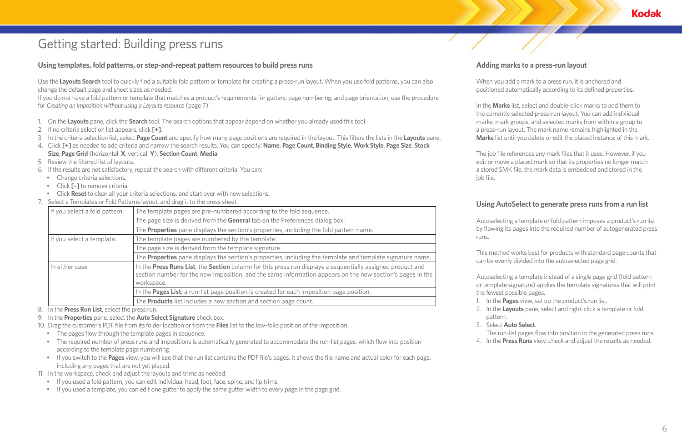# Getting started: Building press runs

### **Using templates, fold patterns, or step-and-repeat pattern resources to build press runs**

Use the **Layouts Search** tool to quickly find a suitable fold pattern or template for creating a press-run layout. When you use fold patterns, you can also change the default page and sheet sizes as needed.

If you do not have a fold pattern or template that matches a product's requirements for gutters, page numbering, and page orientation, use the procedure for *Creating an imposition without using a Layouts resource* (page 7).

- 1. On the **Layouts** pane, click the **Search** tool. The search options that appear depend on whether you already used this tool.
- 2. If no criteria selection list appears, click **[+]**.
- 3. In the criteria selection list, select **Page Count** and specify how many page positions are required in the layout. This filters the lists in the **Layouts** pane.
- 4. Click **[+]** as needed to add criteria and narrow the search results. You can specify: **Name**, **Page Count**, **Binding Style**, **Work Style**, **Page Size**, **Stock Size**, **Page Grid** (horizontal: **X**, vertical: **Y**), **Section Count**, **Media**
- 5. Review the filtered list of layouts.
- 6. If the results are not satisfactory, repeat the search with different criteria. You can:
	- Change criteria selections.
	- Click **[–]** to remove criteria.
	- Click **Reset** to clear all your criteria selections, and start over with new selections.
- 7. Select a Templates or Fold Patterns layout, and drag it to the press sheet.

| If you select a fold pattern: | The template pages are pre-numbered according to the fold sequence.                                                                                                                                                                   |
|-------------------------------|---------------------------------------------------------------------------------------------------------------------------------------------------------------------------------------------------------------------------------------|
|                               | The page size is derived from the General tab on the Preferences dialog box.                                                                                                                                                          |
|                               | The Properties pane displays the section's properties, including the fold pattern name.                                                                                                                                               |
| If you select a template:     | The template pages are numbered by the template.                                                                                                                                                                                      |
|                               | The page size is derived from the template signature.                                                                                                                                                                                 |
|                               | The Properties pane displays the section's properties, including the template and template signature name.                                                                                                                            |
| In either case                | In the Press Runs List, the Section column for this press run displays a sequentially assigned product and<br>section number for the new imposition, and the same information appears on the new section's pages in the<br>workspace. |
|                               | In the Pages List, a run-list page position is created for each imposition page position.                                                                                                                                             |
|                               | The <b>Products</b> list includes a new section and section page count.                                                                                                                                                               |

8. In the **Press Run List**, select the press run.

- 9. In the **Properties** pane, select the **Auto Select Signature** check box.
- 10. Drag the customer's PDF file from its folder location or from the **Files** list to the low-folio position of the imposition.
	- The pages flow through the template pages in sequence.
	- The required number of press runs and impositions is automatically generated to accommodate the run-list pages, which flow into position according to the template page numbering.
	- If you switch to the **Pages** view, you will see that the run list contains the PDF file's pages. It shows the file name and actual color for each page, including any pages that are not yet placed.

11. In the workspace, check and adjust the layouts and trims as needed.

- If you used a fold pattern, you can edit individual head, foot, face, spine, and lip trims.
- If you used a template, you can edit one gutter to apply the same gutter width to every page in the page grid.

# **Adding marks to a press-run layout**

When you add a mark to a press run, it is anchored and positioned automatically according to its defined properties.

In the **Marks** list, select and double-click marks to add them to the currently selected press-run layout. You can add individual marks, mark groups, and selected marks from within a group to a press-run layout. The mark name remains highlighted in the **Marks** list until you delete or edit the placed instance of this mark.

The job file references any mark files that it uses. However, if you edit or move a placed mark so that its properties no longer match a stored SMK file, the mark data is embedded and stored in the

job file.

### **Using AutoSelect to generate press runs from a run list**

Autoselecting a template or fold pattern imposes a product's run list by flowing its pages into the required number of autogenerated press

runs.

This method works best for products with standard page counts that can be evenly divided into the autoselected page grid.

Autoselecting a template instead of a single page grid (fold pattern or template signature) applies the template signatures that will print the fewest possible pages.

1. In the **Pages** view, set up the product's run list.

2. In the **Layouts** pane, select and right-click a template or fold

- 
- pattern.
- 
- 
- 

**Kodak** 

#### 3. Select **Auto Select**.

The run-list pages flow into position in the generated press runs. 4. In the **Press Runs** view, check and adjust the results as needed.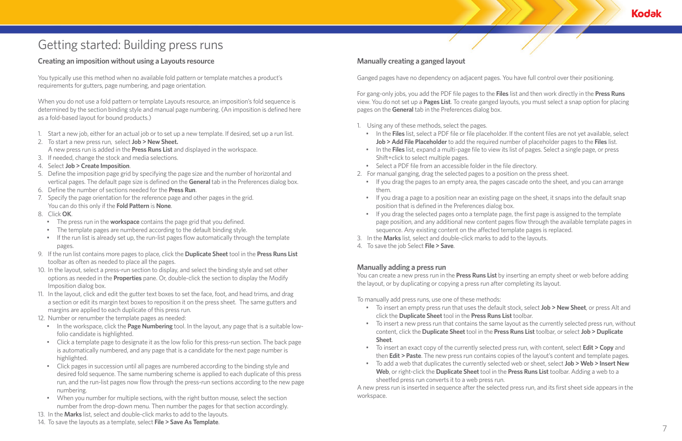# Getting started: Building press runs

### **Creating an imposition without using a Layouts resource**

You typically use this method when no available fold pattern or template matches a product's requirements for gutters, page numbering, and page orientation.

When you do not use a fold pattern or template Layouts resource, an imposition's fold sequence is determined by the section binding style and manual page numbering. (An imposition is defined here as a fold-based layout for bound products.)

- 1. Start a new job, either for an actual job or to set up a new template. If desired, set up a run list.
- 2. To start a new press run, select **Job > New Sheet.**  A new press run is added in the **Press Runs List** and displayed in the workspace.
- 3. If needed, change the stock and media selections.
- 4. Select **Job > Create Imposition**.
- 5. Define the imposition page grid by specifying the page size and the number of horizontal and vertical pages. The default page size is defined on the **General** tab in the Preferences dialog box.
- 6. Define the number of sections needed for the **Press Run**.
- 7. Specify the page orientation for the reference page and other pages in the grid. You can do this only if the **Fold Pattern** is **None**.
- 8. Click **OK**.
	- The press run in the **workspace** contains the page grid that you defined.
	- The template pages are numbered according to the default binding style.
	- If the run list is already set up, the run-list pages flow automatically through the template pages.
- 9. If the run list contains more pages to place, click the **Duplicate Sheet** tool in the **Press Runs List** toolbar as often as needed to place all the pages.
- 10. In the layout, select a press-run section to display, and select the binding style and set other options as needed in the **Properties** pane. Or, double-click the section to display the Modify Imposition dialog box.
- 11. In the layout, click and edit the gutter text boxes to set the face, foot, and head trims, and drag a section or edit its margin text boxes to reposition it on the press sheet. The same gutters and margins are applied to each duplicate of this press run.
- 12. Number or renumber the template pages as needed:
	- In the workspace, click the **Page Numbering** tool. In the layout, any page that is a suitable lowfolio candidate is highlighted.
	- Click a template page to designate it as the low folio for this press-run section. The back page is automatically numbered, and any page that is a candidate for the next page number is highlighted.
	- Click pages in succession until all pages are numbered according to the binding style and desired fold sequence. The same numbering scheme is applied to each duplicate of this press run, and the run-list pages now flow through the press-run sections according to the new page numbering.
	- When you number for multiple sections, with the right button mouse, select the section number from the drop-down menu. Then number the pages for that section accordingly.
- 13. In the **Marks** list, select and double-click marks to add to the layouts.
- 14. To save the layouts as a template, select **File > Save As Template**.

## **Manually creating a ganged layout**

Ganged pages have no dependency on adjacent pages. You have full control over their positioning.

For gang-only jobs, you add the PDF file pages to the **Files** list and then work directly in the **Press Runs** view. You do not set up a **Pages List**. To create ganged layouts, you must select a snap option for placing pages on the **General** tab in the Preferences dialog box.

- 1. Using any of these methods, select the pages.
	- In the **Files** list, select a PDF file or file placeholder. If the content files are not yet available, select **Job > Add File Placeholder** to add the required number of placeholder pages to the **Files** list.
	- In the **Files** list, expand a multi-page file to view its list of pages. Select a single page, or press Shift+click to select multiple pages.
	- Select a PDF file from an accessible folder in the file directory.
- 2. For manual ganging, drag the selected pages to a position on the press sheet.
	- If you drag the pages to an empty area, the pages cascade onto the sheet, and you can arrange them.
	- If you drag a page to a position near an existing page on the sheet, it snaps into the default snap position that is defined in the Preferences dialog box.
	- If you drag the selected pages onto a template page, the first page is assigned to the template page position, and any additional new content pages flow through the available template pages in sequence. Any existing content on the affected template pages is replaced.
- 3. In the **Marks** list, select and double-click marks to add to the layouts.
- 4. To save the job Select **File > Save**.

### **Manually adding a press run**

You can create a new press run in the **Press Runs List** by inserting an empty sheet or web before adding the layout, or by duplicating or copying a press run after completing its layout.

To manually add press runs, use one of these methods:

- To insert an empty press run that uses the default stock, select **Job > New Sheet**, or press Alt and click the **Duplicate Sheet** tool in the **Press Runs List** toolbar.
- To insert a new press run that contains the same layout as the currently selected press run, without content, click the **Duplicate Sheet** tool in the **Press Runs List** toolbar, or select **Job > Duplicate Sheet**.
- To insert an exact copy of the currently selected press run, with content, select **Edit > Copy** and
- To add a web that duplicates the currently selected web or sheet, select **Job > Web > Insert New Web**, or right-click the **Duplicate Sheet** tool in the **Press Runs List** toolbar. Adding a web to a sheetfed press run converts it to a web press run.

then **Edit > Paste**. The new press run contains copies of the layout's content and template pages.

A new press run is inserted in sequence after the selected press run, and its first sheet side appears in the workspace.

**Kodak**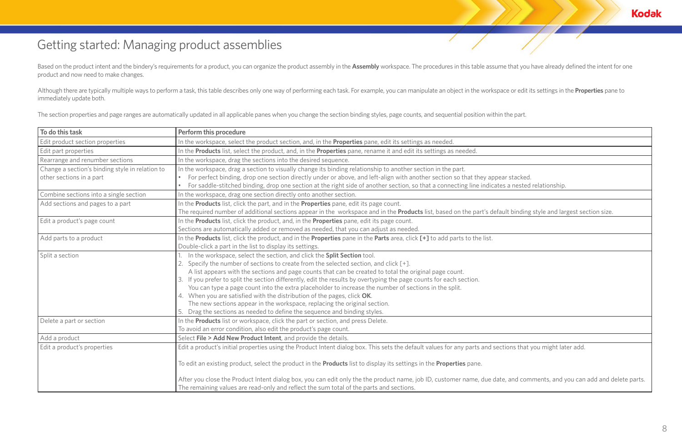# Getting started: Managing product assemblies

Based on the product intent and the bindery's requirements for a product, you can organize the product assembly in the Assembly workspace. The procedures in this table assume that you have already defined the intent for on product and now need to make changes.

Although there are typically multiple ways to perform a task, this table describes only one way of performing each task. For example, you can manipulate an object in the workspace or edit its settings in the Properties pan immediately update both.

The section properties and page ranges are automatically updated in all applicable panes when you change the section binding styles, page counts, and sequential position within the part.

| To do this task                                                             | <b>Perform this procedure</b>                                                                                                                                                                                                                                                                                                                                                                                                                                                                                                                                                                                                                                                                                                                   |
|-----------------------------------------------------------------------------|-------------------------------------------------------------------------------------------------------------------------------------------------------------------------------------------------------------------------------------------------------------------------------------------------------------------------------------------------------------------------------------------------------------------------------------------------------------------------------------------------------------------------------------------------------------------------------------------------------------------------------------------------------------------------------------------------------------------------------------------------|
| Edit product section properties                                             | In the workspace, select the product section, and, in the Properties pane, edit its settings as needed.                                                                                                                                                                                                                                                                                                                                                                                                                                                                                                                                                                                                                                         |
| Edit part properties                                                        | In the Products list, select the product, and, in the Properties pane, rename it and edit its settings as needed.                                                                                                                                                                                                                                                                                                                                                                                                                                                                                                                                                                                                                               |
| Rearrange and renumber sections                                             | In the workspace, drag the sections into the desired sequence.                                                                                                                                                                                                                                                                                                                                                                                                                                                                                                                                                                                                                                                                                  |
| Change a section's binding style in relation to<br>other sections in a part | In the workspace, drag a section to visually change its binding relationship to another section in the part.<br>For perfect binding, drop one section directly under or above, and left-align with another section so that they appear stacked.<br>For saddle-stitched binding, drop one section at the right side of another section, so that a connecting line indicates a nested                                                                                                                                                                                                                                                                                                                                                             |
| Combine sections into a single section                                      | In the workspace, drag one section directly onto another section.                                                                                                                                                                                                                                                                                                                                                                                                                                                                                                                                                                                                                                                                               |
| Add sections and pages to a part                                            | In the Products list, click the part, and in the Properties pane, edit its page count.<br>The required number of additional sections appear in the workspace and in the <b>Products</b> list, based on the part's default binding                                                                                                                                                                                                                                                                                                                                                                                                                                                                                                               |
| Edit a product's page count                                                 | In the Products list, click the product, and, in the Properties pane, edit its page count.<br>Sections are automatically added or removed as needed, that you can adjust as needed.                                                                                                                                                                                                                                                                                                                                                                                                                                                                                                                                                             |
| Add parts to a product                                                      | In the Products list, click the product, and in the Properties pane in the Parts area, click [+] to add parts to the list.<br>Double-click a part in the list to display its settings.                                                                                                                                                                                                                                                                                                                                                                                                                                                                                                                                                          |
| Split a section                                                             | In the workspace, select the section, and click the Split Section tool.<br>2. Specify the number of sections to create from the selected section, and click [+].<br>A list appears with the sections and page counts that can be created to total the original page count.<br>If you prefer to split the section differently, edit the results by overtyping the page counts for each section.<br>3.<br>You can type a page count into the extra placeholder to increase the number of sections in the split.<br>4. When you are satisfied with the distribution of the pages, click OK.<br>The new sections appear in the workspace, replacing the original section.<br>Drag the sections as needed to define the sequence and binding styles. |
| Delete a part or section                                                    | In the <b>Products</b> list or workspace, click the part or section, and press Delete.<br>To avoid an error condition, also edit the product's page count.                                                                                                                                                                                                                                                                                                                                                                                                                                                                                                                                                                                      |
| Add a product                                                               | Select File > Add New Product Intent, and provide the details.                                                                                                                                                                                                                                                                                                                                                                                                                                                                                                                                                                                                                                                                                  |
| Edit a product's properties                                                 | Edit a product's initial properties using the Product Intent dialog box. This sets the default values for any parts and sections that<br>To edit an existing product, select the product in the Products list to display its settings in the Properties pane.                                                                                                                                                                                                                                                                                                                                                                                                                                                                                   |
|                                                                             | After you close the Product Intent dialog box, you can edit only the the product name, job ID, customer name, due date, and com<br>The remaining values are read-only and reflect the sum total of the parts and sections.                                                                                                                                                                                                                                                                                                                                                                                                                                                                                                                      |



es a nested relationship.

ault binding style and largest section size.

ctions that you might later add.

te, and comments, and you can add and delete parts.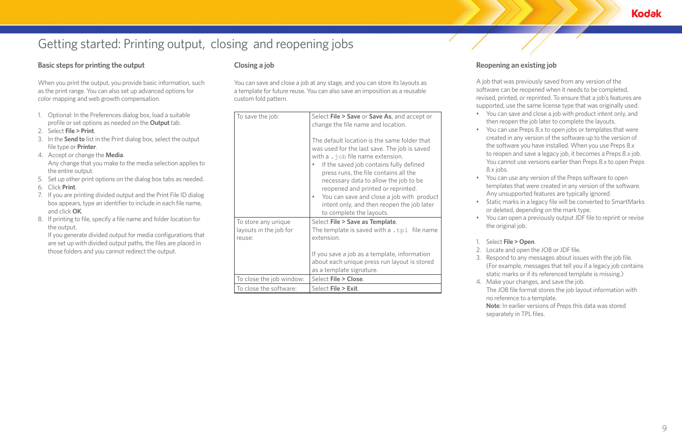# Getting started: Printing output, closing and reopening jobs

### **Basic steps for printing the output**

When you print the output, you provide basic information, such as the print range. You can also set up advanced options for color mapping and web growth compensation.

- 1. Optional: In the Preferences dialog box, load a suitable profile or set options as needed on the **Output** tab.
- 2. Select **File > Print**.
- 3. In the **Send to** list in the Print dialog box, select the output file type or **Printer**.
- 4. Accept or change the **Media**. Any change that you make to the media selection applies to the entire output.
- 5. Set up other print options on the dialog box tabs as needed.
- 6. Click **Print**.
- 7. If you are printing divided output and the Print File ID dialog box appears, type an identifier to include in each file name, and click **OK**.
- 8. If printing to file, specify a file name and folder location for the output.

If you generate divided output for media configurations that are set up with divided output paths, the files are placed in those folders and you cannot redirect the output.

## **Closing a job**

You can save and close a job at any stage, and you can store its layouts as a template for future reuse. You can also save an imposition as a reusable custom fold pattern.

| To save the job:                                        | Select File > Save or Save As, and accept or<br>change the file name and location.<br>The default location is the same folder that<br>was used for the last save. The job is saved<br>with a $\cdot$ job file name extension.<br>If the saved job contains fully defined<br>press runs, the file contains all the<br>necessary data to allow the job to be<br>reopened and printed or reprinted.<br>You can save and close a job with product<br>۰<br>intent only, and then reopen the job later<br>to complete the layouts. |
|---------------------------------------------------------|------------------------------------------------------------------------------------------------------------------------------------------------------------------------------------------------------------------------------------------------------------------------------------------------------------------------------------------------------------------------------------------------------------------------------------------------------------------------------------------------------------------------------|
| To store any unique<br>layouts in the job for<br>reuse: | Select File > Save as Template.<br>The template is saved with a $.tp1$ file name<br>extension.<br>If you save a job as a template, information                                                                                                                                                                                                                                                                                                                                                                               |
|                                                         | about each unique press run layout is stored<br>as a template signature.                                                                                                                                                                                                                                                                                                                                                                                                                                                     |
| To close the job window:                                | Select File > Close.                                                                                                                                                                                                                                                                                                                                                                                                                                                                                                         |
| To close the software:                                  | Select File > Exit.                                                                                                                                                                                                                                                                                                                                                                                                                                                                                                          |

# **Reopening an existing job**

A job that was previously saved from any version of the software can be reopened when it needs to be completed, revised, printed, or reprinted. To ensure that a job's features are supported, use the same license type that was originally used. • You can save and close a job with product intent only, and then reopen the job later to complete the layouts.

• You can use Preps 8.x to open jobs or templates that were created in any version of the software up to the version of the software you have installed. When you use Preps 8.x to reopen and save a legacy job, it becomes a Preps 8.x job. You cannot use versions earlier than Preps 8.x to open Preps

- 
- 8.x jobs.
- 
- 
- 
- 
- -
	-
	-
	-
	-
	-

**Kodak** 

• You can use any version of the Preps software to open templates that were created in any version of the software. Any unsupported features are typically ignored.

• Static marks in a legacy file will be converted to SmartMarks or deleted, depending on the mark type.

• You can open a previously output JDF file to reprint or revise the original job.

#### 1. Select **File > Open**.

2. Locate and open the JOB or JDF file.

3. Respond to any messages about issues with the job file.

(For example, messages that tell you if a legacy job contains static marks or if its referenced template is missing.)

4. Make your changes, and save the job.

The JOB file format stores the job layout information with no reference to a template.

**Note**: In earlier versions of Preps this data was stored separately in TPL files.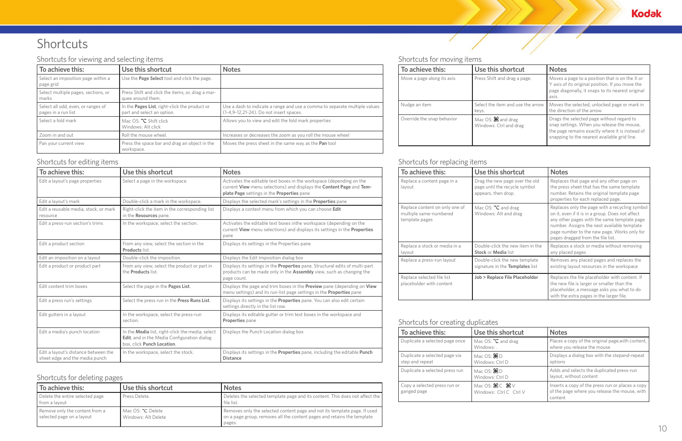# Shortcuts

### Shortcuts for moving items

Γ

| To achieve this:                                            | Use this shortcut                               | <b>Notes</b>                                                                                                                                                                               |  |  |  |
|-------------------------------------------------------------|-------------------------------------------------|--------------------------------------------------------------------------------------------------------------------------------------------------------------------------------------------|--|--|--|
| Move a page along its axis                                  | Press Shift and drag a page.                    | Moves a page to a position that is on the $X$ or<br>Y axis of its original position. If you move the<br>page diagonally, it snaps to its nearest original<br>axis.                         |  |  |  |
| Select the item and use the arrow<br>Nudge an item<br>keys. |                                                 | Moves the selected, unlocked page or mark in<br>the direction of the arrow                                                                                                                 |  |  |  |
| Override the snap behavior                                  | Mac $OS: 36$ and drag<br>Windows: Ctrl and drag | Drags the selected page without regard to<br>snap settings. When you release the mouse,<br>the page remains exactly where it is instead of<br>snapping to the nearest available grid line. |  |  |  |

### Shortcuts for replacing items

| To achieve this:                                                           | Use this shortcut                                                                      | <b>Notes</b>                                                                                                                                                                                                                                                                         |
|----------------------------------------------------------------------------|----------------------------------------------------------------------------------------|--------------------------------------------------------------------------------------------------------------------------------------------------------------------------------------------------------------------------------------------------------------------------------------|
| Replace a content page in a<br>layout                                      | Drag the new page over the old<br>page until the recycle symbol<br>appears, then drop. | Replaces that page and any other page on<br>the press sheet that has the same template<br>number. Retains the original template page<br>properties for each replaced page.                                                                                                           |
| Replace content on only one of<br>multiple same-numbered<br>template pages | Mac OS: $\Sigma$ and drag<br>Windows: Alt and drag                                     | Replaces only the page with a recycling symbol<br>on it, even if it is in a group. Does not affect<br>any other pages with the same template page<br>number. Assigns the next available template<br>page number to the new page. Works only for<br>pages dragged from the file list. |
| Replace a stock or media in a<br>layout                                    | Double-click the new item in the<br><b>Stock or Media list</b>                         | Replaces a stock or media without removing<br>any placed pages                                                                                                                                                                                                                       |
| Replace a press-run layout                                                 | Double-click the new template<br>signature in the Templates list                       | Removes any placed pages and replaces the<br>existing layout resources in the workspace                                                                                                                                                                                              |
| Replace selected file list<br>placeholder with content                     | <b>Job &gt; Replace File Placeholder</b>                                               | Replaces the file placeholder with content. If<br>the new file is larger or smaller than the<br>placeholder, a message asks you what to do<br>with the extra pages in the larger file.                                                                                               |

# Shortcuts for creating duplicates

| To achieve this:                                 | Use this shortcut                                                        | <b>Notes</b>                                                                                                 |
|--------------------------------------------------|--------------------------------------------------------------------------|--------------------------------------------------------------------------------------------------------------|
| Duplicate a selected page once                   | Mac OS: $\Sigma$ and drag<br>Windows: .                                  | Places a copy of the original page, with content,<br>where you release the mouse                             |
| Duplicate a selected page via<br>step and repeat | Mac OS: $\mathcal{H}$ D<br>Windows: Ctrl D                               | Displays a dialog box with the stepand-repeat<br>options                                                     |
| Duplicate a selected press run                   | Mac OS: $\mathcal{H}$ D<br>Windows: Ctrl D                               | Adds and selects the duplicated press-run<br>layout, without content                                         |
| Copy a selected press run or<br>ganged page      | Mac OS: $\mathcal{H} \subset \mathcal{H} \vee$<br>Windows: Ctrl C Ctrl V | Inserts a copy of the press run or places a copy<br>of the page where you release the mouse, with<br>content |





# Shortcuts for viewing and selecting items

| To achieve this:                                          | Use this shortcut                                                                   | <b>Notes</b>                                                                                                          |
|-----------------------------------------------------------|-------------------------------------------------------------------------------------|-----------------------------------------------------------------------------------------------------------------------|
| Select an imposition page within a<br>page grid           | Use the Page Select tool and click the page.                                        |                                                                                                                       |
| Select multiple pages, sections, or<br>marks              | Press Shift and click the items, or, drag a mar-<br>quee around them.               |                                                                                                                       |
| Select all odd, even, or ranges of<br>pages in a run list | In the <b>Pages List</b> , right-click the product or<br>part and select an option. | Use a dash to indicate a range and use a comma to separate multiple values<br>(1-4,9-12,21-24). Do not insert spaces. |
| Select a fold mark                                        | Mac $OS: \mathbb{Z}$ Shift click<br>Windows: Alt click                              | Allows you to view and edit the fold mark properties                                                                  |
| Zoom in and out                                           | Roll the mouse wheel.                                                               | Increases or decreases the zoom as you roll the mouse wheel                                                           |
| Pan your current view                                     | Press the space bar and drag an object in the<br>workspace.                         | Moves the press sheet in the same way as the Pan tool                                                                 |

# Shortcuts for editing items

| To achieve this:                                                       | Use this shortcut                                                                                                             | <b>Notes</b>                                                                                                                                                                               |
|------------------------------------------------------------------------|-------------------------------------------------------------------------------------------------------------------------------|--------------------------------------------------------------------------------------------------------------------------------------------------------------------------------------------|
| Edit a layout's page properties                                        | Select a page in the workspace.                                                                                               | Activates the editable text boxes in the workspace (depending on the<br>current View menu selections) and displays the Content Page and Tem-<br>plate Page settings in the Properties pane |
| Edit a layout's mark                                                   | Double-click a mark in the workspace.                                                                                         | Displays the selected mark's settings in the <b>Properties</b> pane                                                                                                                        |
| Edit a reusable media, stock, or mark<br>resource                      | Right-click the item in the corresponding list<br>in the Resources pane.                                                      | Displays a context menu from which you can choose Edit                                                                                                                                     |
| Edit a press-run section's trims                                       | In the workspace, select the section.                                                                                         | Activates the editable text boxes inthe workspace (depending on the<br>current View menu selections) and displays its settings in the Properties<br>pane                                   |
| Edit a product section                                                 | From any view, select the section in the<br>Products list.                                                                    | Displays its settings in the Properties pane                                                                                                                                               |
| Edit an imposition on a layout                                         | Double-click the imposition.                                                                                                  | Displays the Edit Imposition dialog box                                                                                                                                                    |
| Edit a product or product part                                         | From any view, select the product or part in<br>the <b>Products</b> list.                                                     | Displays its settings in the <b>Properties</b> pane. Structural edits of multi-part<br>products can be made only in the <b>Assembly</b> view, such as changing the<br>page count.          |
| Edit content trim boxes                                                | Select the page in the Pages List.                                                                                            | Displays the page and trim boxes in the Preview pane (depending on View<br>menu settings) and its run-list page settings in the <b>Properties</b> pane                                     |
| Edit a press run's settings                                            | Select the press run in the Press Runs List.                                                                                  | Displays its settings in the <b>Properties</b> pane. You can also edit certain<br>settings directly in the list row.                                                                       |
| Edit gutters in a layout                                               | In the workspace, select the press-run<br>section.                                                                            | Displays its editable gutter or trim text boxes in the workspace and<br>Properties pane                                                                                                    |
| Edit a media's punch location                                          | In the Media list, right-click the media, select<br>Edit, and in the Media Configuration dialog<br>box, click Punch Location. | Displays the Punch Location dialog box                                                                                                                                                     |
| Edit a layout's distance between the<br>sheet edge and the media punch | In the workspace, select the stock.                                                                                           | Displays its settings in the Properties pane, including the editable Punch<br><b>Distance</b>                                                                                              |

# Shortcuts for deleting pages

| To achieve this:                                            | Use this shortcut                              | <b>Notes</b>                                                                                                                                                   |
|-------------------------------------------------------------|------------------------------------------------|----------------------------------------------------------------------------------------------------------------------------------------------------------------|
| Delete the entire selected page<br>from a layout            | Press Delete.                                  | Deletes the selected template page and its content. This does not affect the<br>file list.                                                                     |
| Remove only the content from a<br>selected page on a layout | Mac OS: $\Sigma$ Delete<br>Windows: Alt Delete | Removes only the selected content page and not its template page. If used<br>on a page group, removes all the content pages and retains the template<br>pages. |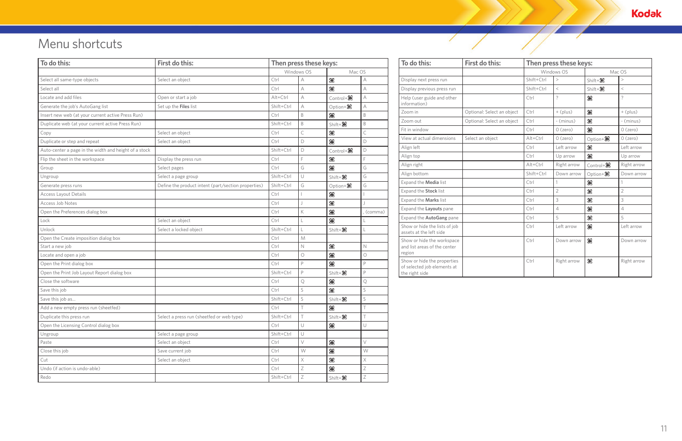| To do this:                                                                  | First do this:             | Then press these keys: |                |                         |                |  |
|------------------------------------------------------------------------------|----------------------------|------------------------|----------------|-------------------------|----------------|--|
|                                                                              |                            | Windows OS             |                | Mac OS                  |                |  |
| Display next press run                                                       |                            | Shift+Ctrl             | >              | $Shift + 86$            | $\,>$          |  |
| Display previous press run                                                   |                            | Shift+Ctrl             | $\,<$          | $Shift + 86$            | $\,<$          |  |
| Help (user guide and other<br>information)                                   |                            | Ctrl                   | $\overline{?}$ | ₩                       | $\tilde{?}$    |  |
| Zoom in                                                                      | Optional: Select an object | Ctrl                   | $+$ (plus)     | 98                      | $+$ (plus)     |  |
| Zoom out                                                                     | Optional: Select an object | Ctrl                   | - (minus)      | ₩                       | - (minus)      |  |
| Fit in window                                                                |                            | Ctrl                   | $O$ (zero)     | æ                       | $O$ (zero)     |  |
| View at actual dimensions                                                    | Select an object           | $Alt+Ctrl$             | $O$ (zero)     | Option+ $\frac{36}{56}$ | $O$ (zero)     |  |
| Align left                                                                   |                            | Ctrl                   | Left arrow     | 98                      | Left arrow     |  |
| Align top                                                                    |                            | Ctrl                   | Up arrow       | æ                       | Up arrow       |  |
| Align right                                                                  |                            | $Alt+Ctrl$             | Right arrow    | $Control + 86$          | Right arrow    |  |
| Align bottom                                                                 |                            | Shift+Ctrl             | Down arrow     | Option+ $\frac{36}{56}$ | Down arrow     |  |
| Expand the Media list                                                        |                            | Ctrl                   | $\mathbf{1}$   | 98                      | $\mathbf{1}$   |  |
| Expand the Stock list                                                        |                            | Ctrl                   | $\overline{2}$ | 98                      | $\overline{2}$ |  |
| Expand the Marks list                                                        |                            | Ctrl                   | 3              | æ                       | 3              |  |
| Expand the Layouts pane                                                      |                            | Ctrl                   | $\overline{4}$ | 98                      | $\overline{4}$ |  |
| Expand the AutoGang pane                                                     |                            | Ctrl                   | 5              | æ                       | 5              |  |
| Show or hide the lists of job<br>assets at the left side                     |                            | Ctrl                   | Left arrow     | æ                       | Left arrow     |  |
| Show or hide the workspace<br>and list areas of the center<br>region         |                            | Ctrl                   | Down arrow     | æ                       | Down arrow     |  |
| Show or hide the properties<br>of selected job elements at<br>the right side |                            | Ctrl                   | Right arrow    | 98                      | Right arrow    |  |

 $\sqrt{2}$ 

**Kodak** 

Ζ

# Menu shortcuts

| To do this:                                           | First do this:<br>Select an object                  | Then press these keys: |              |                | To o         |               |
|-------------------------------------------------------|-----------------------------------------------------|------------------------|--------------|----------------|--------------|---------------|
|                                                       |                                                     | Windows OS             |              | Mac OS         |              |               |
| Select all same-type objects                          |                                                     | Ctrl                   | A            | æ              | A            | Displ         |
| Select all                                            |                                                     | Ctrl                   | A            | 98             | A            | Displ         |
| Locate and add files                                  | Open or start a job                                 | Alt+Ctrl               | $\wedge$     | $Control + 36$ | A            | Help          |
| Generate the job's AutoGang list                      | Set up the Files list                               | Shift+Ctrl             | A            | $Option+36$    | А            | infor         |
| Insert new web (at your current active Press Run)     |                                                     | Ctrl                   | B            | 98             | B            | Zoon          |
| Duplicate web (at your current active Press Run)      |                                                     | Shift+Ctrl             | B            | $Shift + 86$   | B            | Zoon          |
| Copy                                                  | Select an object                                    | Ctrl                   | $\mathsf{C}$ | æ              | $\mathsf{C}$ | Fit in        |
| Duplicate or step and repeat                          | Select an object                                    | Ctrl                   | D            | 98             | D            | View          |
| Auto-center a page in the width and height of a stock |                                                     | Shift+Ctrl             | D            | $Control + 36$ | D            | Align         |
| Flip the sheet in the workspace                       | Display the press run                               | Ctrl                   | E            | æ              | E            | Align         |
| Group                                                 | Select pages                                        | Ctrl                   | G            | 98             | G            | Align         |
| Ungroup                                               | Select a page group                                 | Shift+Ctrl             | $\cup$       | $Shift + 86$   | G            | Align         |
| Generate press runs                                   | Define the product intent (part/section properties) | Shift+Ctrl             | G            | Option+86      | G            | Expa          |
| <b>Access Layout Details</b>                          |                                                     | Ctrl                   |              | æ              |              | Expa          |
| Access Job Notes                                      |                                                     | Ctrl                   |              | æ              |              | Expa          |
| Open the Preferences dialog box                       |                                                     | Ctrl                   | K            | æ              | , (comma)    | Expa          |
| Lock                                                  | Select an object                                    | Ctrl                   |              | æ              |              | Expar         |
| Unlock                                                | Select a locked object                              | Shift+Ctrl             |              | $Shift + 86$   |              | Show<br>asset |
| Open the Create imposition dialog box                 |                                                     | Ctrl                   | M            |                |              | Show          |
| Start a new job                                       |                                                     | Ctrl                   | $\mathbb N$  | æ              | $\mathbb N$  | and I         |
| Locate and open a job                                 |                                                     | Ctrl                   | $\circ$      | 98             | $\circ$      | regio         |
| Open the Print dialog box                             |                                                     | Ctrl                   | $\mathsf{P}$ | æ              | $\mathsf{P}$ | Show<br>of se |
| Open the Print Job Layout Report dialog box           |                                                     | Shift+Ctrl             | $\mathsf{P}$ | $Shift + 86$   | $\mathsf{P}$ | the ri        |
| Close the software                                    |                                                     | Ctrl                   | Q            | 98             | Q            |               |
| Save this job                                         |                                                     | Ctrl                   | S            | æ              | S            |               |
| Save this job as                                      |                                                     | Shift+Ctrl             | S            | $Shift + 86$   | S            |               |
| Add a new empty press run (sheetfed)                  |                                                     | Ctrl                   |              | æ              |              |               |
| Duplicate this press run                              | Select a press run (sheetfed or web type)           | Shift+Ctrl             | $\top$       | $Shift + 86$   |              |               |
| Open the Licensing Control dialog box                 |                                                     | Ctrl                   | U            | æ              | U            |               |
| Ungroup                                               | Select a page group                                 | Shift+Ctrl             | $\cup$       |                |              |               |
| Paste                                                 | Select an object                                    | Ctrl                   | $\vee$       | æ              | $\vee$       |               |
| Close this job                                        | Save current job                                    | Ctrl                   | W            | æ              | W            |               |
| Cut                                                   | Select an object                                    | Ctrl                   | $\times$     | æ              | $\times$     |               |
| Undo (if action is undo-able)                         |                                                     | Ctrl                   | Ζ            | æ              | $\mathsf Z$  |               |
| Redo                                                  |                                                     | Shift+Ctrl             | Ζ            | $Shift + 36$   | $\mathsf Z$  |               |